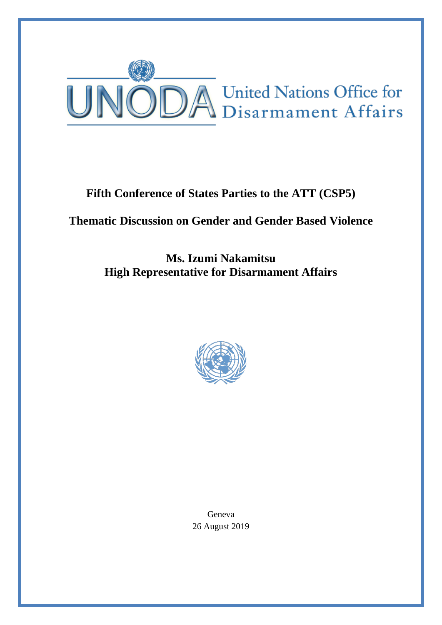

## **Fifth Conference of States Parties to the ATT (CSP5)**

## **Thematic Discussion on Gender and Gender Based Violence**

**Ms. Izumi Nakamitsu High Representative for Disarmament Affairs**



Geneva 26 August 2019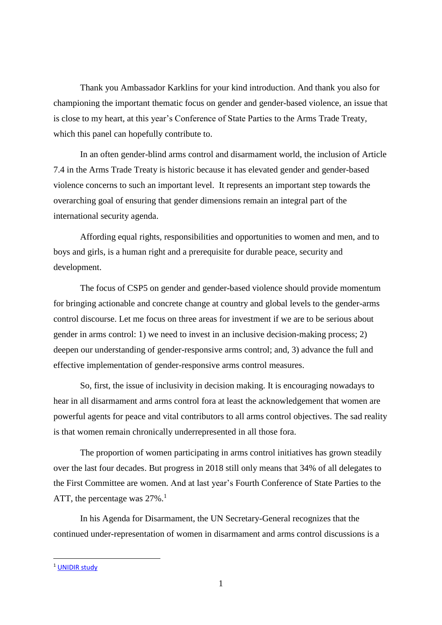Thank you Ambassador Karklins for your kind introduction. And thank you also for championing the important thematic focus on gender and gender-based violence, an issue that is close to my heart, at this year's Conference of State Parties to the Arms Trade Treaty, which this panel can hopefully contribute to.

In an often gender-blind arms control and disarmament world, the inclusion of Article 7.4 in the Arms Trade Treaty is historic because it has elevated gender and gender-based violence concerns to such an important level. It represents an important step towards the overarching goal of ensuring that gender dimensions remain an integral part of the international security agenda.

Affording equal rights, responsibilities and opportunities to women and men, and to boys and girls, is a human right and a prerequisite for durable peace, security and development.

The focus of CSP5 on gender and gender-based violence should provide momentum for bringing actionable and concrete change at country and global levels to the gender-arms control discourse. Let me focus on three areas for investment if we are to be serious about gender in arms control: 1) we need to invest in an inclusive decision-making process; 2) deepen our understanding of gender-responsive arms control; and, 3) advance the full and effective implementation of gender-responsive arms control measures.

So, first, the issue of inclusivity in decision making. It is encouraging nowadays to hear in all disarmament and arms control fora at least the acknowledgement that women are powerful agents for peace and vital contributors to all arms control objectives. The sad reality is that women remain chronically underrepresented in all those fora.

The proportion of women participating in arms control initiatives has grown steadily over the last four decades. But progress in 2018 still only means that 34% of all delegates to the First Committee are women. And at last year's Fourth Conference of State Parties to the ATT, the percentage was  $27\%$ .<sup>1</sup>

In his Agenda for Disarmament, the UN Secretary-General recognizes that the continued under-representation of women in disarmament and arms control discussions is a

**.** 

<sup>&</sup>lt;sup>1</sup> [UNIDIR study](http://www.unidir.org/files/publications/pdfs/still-behind-the-curve-en-770.pdf)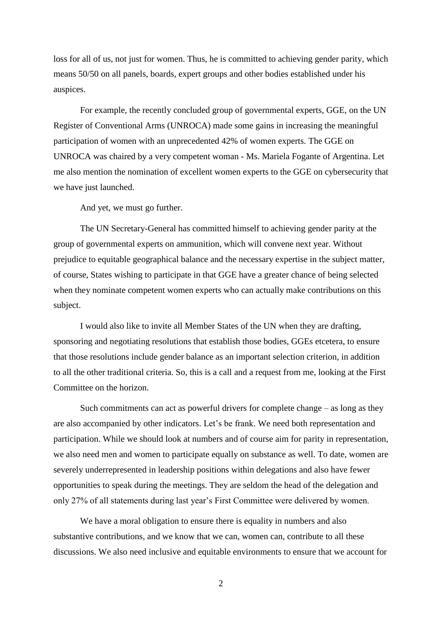loss for all of us, not just for women. Thus, he is committed to achieving gender parity, which means 50/50 on all panels, boards, expert groups and other bodies established under his auspices.

For example, the recently concluded group of governmental experts, GGE, on the UN Register of Conventional Arms (UNROCA) made some gains in increasing the meaningful participation of women with an unprecedented 42% of women experts. The GGE on UNROCA was chaired by a very competent woman - Ms. Mariela Fogante of Argentina. Let me also mention the nomination of excellent women experts to the GGE on cybersecurity that we have just launched.

And yet, we must go further.

The UN Secretary-General has committed himself to achieving gender parity at the group of governmental experts on ammunition, which will convene next year. Without prejudice to equitable geographical balance and the necessary expertise in the subject matter, of course, States wishing to participate in that GGE have a greater chance of being selected when they nominate competent women experts who can actually make contributions on this subject.

I would also like to invite all Member States of the UN when they are drafting, sponsoring and negotiating resolutions that establish those bodies, GGEs etcetera, to ensure that those resolutions include gender balance as an important selection criterion, in addition to all the other traditional criteria. So, this is a call and a request from me, looking at the First Committee on the horizon.

Such commitments can act as powerful drivers for complete change – as long as they are also accompanied by other indicators. Let's be frank. We need both representation and participation. While we should look at numbers and of course aim for parity in representation, we also need men and women to participate equally on substance as well. To date, women are severely underrepresented in leadership positions within delegations and also have fewer opportunities to speak during the meetings. They are seldom the head of the delegation and only 27% of all statements during last year's First Committee were delivered by women.

We have a moral obligation to ensure there is equality in numbers and also substantive contributions, and we know that we can, women can, contribute to all these discussions. We also need inclusive and equitable environments to ensure that we account for

2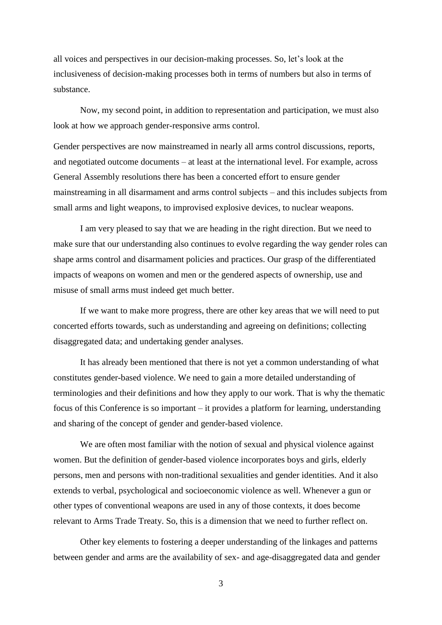all voices and perspectives in our decision-making processes. So, let's look at the inclusiveness of decision-making processes both in terms of numbers but also in terms of substance.

Now, my second point, in addition to representation and participation, we must also look at how we approach gender-responsive arms control.

Gender perspectives are now mainstreamed in nearly all arms control discussions, reports, and negotiated outcome documents – at least at the international level. For example, across General Assembly resolutions there has been a concerted effort to ensure gender mainstreaming in all disarmament and arms control subjects – and this includes subjects from small arms and light weapons, to improvised explosive devices, to nuclear weapons.

I am very pleased to say that we are heading in the right direction. But we need to make sure that our understanding also continues to evolve regarding the way gender roles can shape arms control and disarmament policies and practices. Our grasp of the differentiated impacts of weapons on women and men or the gendered aspects of ownership, use and misuse of small arms must indeed get much better.

If we want to make more progress, there are other key areas that we will need to put concerted efforts towards, such as understanding and agreeing on definitions; collecting disaggregated data; and undertaking gender analyses.

It has already been mentioned that there is not yet a common understanding of what constitutes gender-based violence. We need to gain a more detailed understanding of terminologies and their definitions and how they apply to our work. That is why the thematic focus of this Conference is so important – it provides a platform for learning, understanding and sharing of the concept of gender and gender-based violence.

We are often most familiar with the notion of sexual and physical violence against women. But the definition of gender-based violence incorporates boys and girls, elderly persons, men and persons with non-traditional sexualities and gender identities. And it also extends to verbal, psychological and socioeconomic violence as well. Whenever a gun or other types of conventional weapons are used in any of those contexts, it does become relevant to Arms Trade Treaty. So, this is a dimension that we need to further reflect on.

Other key elements to fostering a deeper understanding of the linkages and patterns between gender and arms are the availability of sex- and age-disaggregated data and gender

3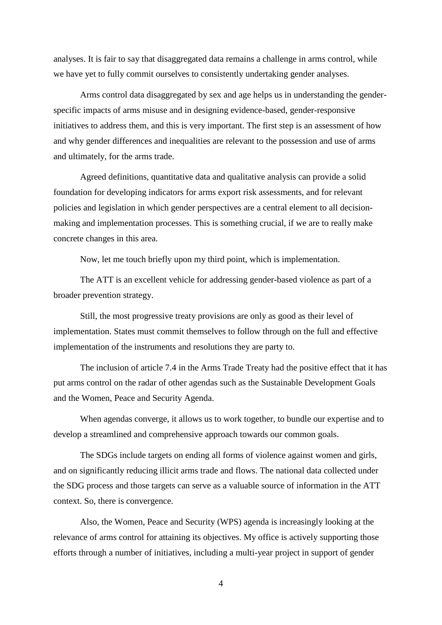analyses. It is fair to say that disaggregated data remains a challenge in arms control, while we have yet to fully commit ourselves to consistently undertaking gender analyses.

Arms control data disaggregated by sex and age helps us in understanding the genderspecific impacts of arms misuse and in designing evidence-based, gender-responsive initiatives to address them, and this is very important. The first step is an assessment of how and why gender differences and inequalities are relevant to the possession and use of arms and ultimately, for the arms trade.

Agreed definitions, quantitative data and qualitative analysis can provide a solid foundation for developing indicators for arms export risk assessments, and for relevant policies and legislation in which gender perspectives are a central element to all decisionmaking and implementation processes. This is something crucial, if we are to really make concrete changes in this area.

Now, let me touch briefly upon my third point, which is implementation.

The ATT is an excellent vehicle for addressing gender-based violence as part of a broader prevention strategy.

Still, the most progressive treaty provisions are only as good as their level of implementation. States must commit themselves to follow through on the full and effective implementation of the instruments and resolutions they are party to.

The inclusion of article 7.4 in the Arms Trade Treaty had the positive effect that it has put arms control on the radar of other agendas such as the Sustainable Development Goals and the Women, Peace and Security Agenda.

When agendas converge, it allows us to work together, to bundle our expertise and to develop a streamlined and comprehensive approach towards our common goals.

The SDGs include targets on ending all forms of violence against women and girls, and on significantly reducing illicit arms trade and flows. The national data collected under the SDG process and those targets can serve as a valuable source of information in the ATT context. So, there is convergence.

Also, the Women, Peace and Security (WPS) agenda is increasingly looking at the relevance of arms control for attaining its objectives. My office is actively supporting those efforts through a number of initiatives, including a multi-year project in support of gender